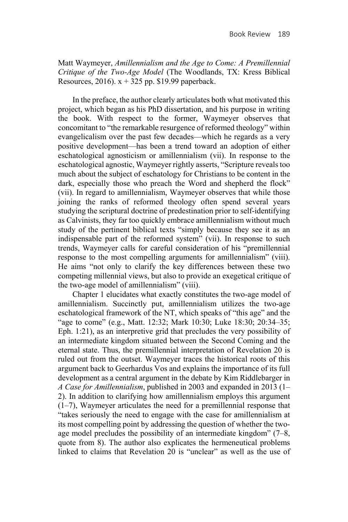Matt Waymeyer, *Amillennialism and the Age to Come: A Premillennial Critique of the Two-Age Model* (The Woodlands, TX: Kress Biblical Resources, 2016).  $x + 325$  pp. \$19.99 paperback.

In the preface, the author clearly articulates both what motivated this project, which began as his PhD dissertation, and his purpose in writing the book. With respect to the former, Waymeyer observes that concomitant to "the remarkable resurgence of reformed theology" within evangelicalism over the past few decades—which he regards as a very positive development—has been a trend toward an adoption of either eschatological agnosticism or amillennialism (vii). In response to the eschatological agnostic, Waymeyer rightly asserts, "Scripture reveals too much about the subject of eschatology for Christians to be content in the dark, especially those who preach the Word and shepherd the flock" (vii). In regard to amillennialism, Waymeyer observes that while those joining the ranks of reformed theology often spend several years studying the scriptural doctrine of predestination prior to self-identifying as Calvinists, they far too quickly embrace amillennialism without much study of the pertinent biblical texts "simply because they see it as an indispensable part of the reformed system" (vii). In response to such trends, Waymeyer calls for careful consideration of his "premillennial response to the most compelling arguments for amillennialism" (viii). He aims "not only to clarify the key differences between these two competing millennial views, but also to provide an exegetical critique of the two-age model of amillennialism" (viii).

Chapter 1 elucidates what exactly constitutes the two-age model of amillennialism. Succinctly put, amillennialism utilizes the two-age eschatological framework of the NT, which speaks of "this age" and the "age to come" (e.g., Matt. 12:32; Mark 10:30; Luke 18:30; 20:34–35; Eph. 1:21), as an interpretive grid that precludes the very possibility of an intermediate kingdom situated between the Second Coming and the eternal state. Thus, the premillennial interpretation of Revelation 20 is ruled out from the outset. Waymeyer traces the historical roots of this argument back to Geerhardus Vos and explains the importance of its full development as a central argument in the debate by Kim Riddlebarger in *A Case for Amillennialism*, published in 2003 and expanded in 2013 (1– 2). In addition to clarifying how amillennialism employs this argument (1–7), Waymeyer articulates the need for a premillennial response that "takes seriously the need to engage with the case for amillennialism at its most compelling point by addressing the question of whether the twoage model precludes the possibility of an intermediate kingdom" (7–8, quote from 8). The author also explicates the hermeneutical problems linked to claims that Revelation 20 is "unclear" as well as the use of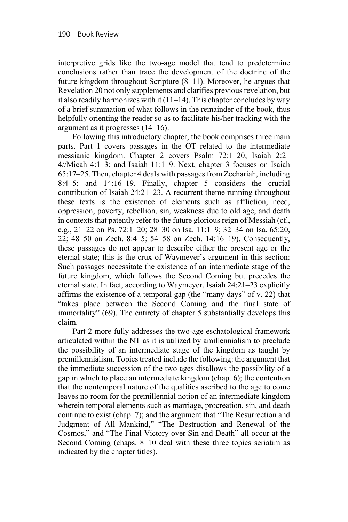interpretive grids like the two-age model that tend to predetermine conclusions rather than trace the development of the doctrine of the future kingdom throughout Scripture (8–11). Moreover, he argues that Revelation 20 not only supplements and clarifies previous revelation, but it also readily harmonizes with it  $(11-14)$ . This chapter concludes by way of a brief summation of what follows in the remainder of the book, thus helpfully orienting the reader so as to facilitate his/her tracking with the argument as it progresses (14–16).

Following this introductory chapter, the book comprises three main parts. Part 1 covers passages in the OT related to the intermediate messianic kingdom. Chapter 2 covers Psalm 72:1–20; Isaiah 2:2– 4//Micah 4:1–3; and Isaiah 11:1–9. Next, chapter 3 focuses on Isaiah 65:17–25. Then, chapter 4 deals with passages from Zechariah, including 8:4–5; and 14:16–19. Finally, chapter 5 considers the crucial contribution of Isaiah 24:21–23. A recurrent theme running throughout these texts is the existence of elements such as affliction, need, oppression, poverty, rebellion, sin, weakness due to old age, and death in contexts that patently refer to the future glorious reign of Messiah (cf., e.g., 21–22 on Ps. 72:1–20; 28–30 on Isa. 11:1–9; 32–34 on Isa. 65:20, 22; 48–50 on Zech. 8:4–5; 54–58 on Zech. 14:16–19). Consequently, these passages do not appear to describe either the present age or the eternal state; this is the crux of Waymeyer's argument in this section: Such passages necessitate the existence of an intermediate stage of the future kingdom, which follows the Second Coming but precedes the eternal state. In fact, according to Waymeyer, Isaiah 24:21–23 explicitly affirms the existence of a temporal gap (the "many days" of v. 22) that "takes place between the Second Coming and the final state of immortality" (69). The entirety of chapter 5 substantially develops this claim.

Part 2 more fully addresses the two-age eschatological framework articulated within the NT as it is utilized by amillennialism to preclude the possibility of an intermediate stage of the kingdom as taught by premillennialism. Topics treated include the following: the argument that the immediate succession of the two ages disallows the possibility of a gap in which to place an intermediate kingdom (chap. 6); the contention that the nontemporal nature of the qualities ascribed to the age to come leaves no room for the premillennial notion of an intermediate kingdom wherein temporal elements such as marriage, procreation, sin, and death continue to exist (chap. 7); and the argument that "The Resurrection and Judgment of All Mankind," "The Destruction and Renewal of the Cosmos," and "The Final Victory over Sin and Death" all occur at the Second Coming (chaps. 8–10 deal with these three topics seriatim as indicated by the chapter titles).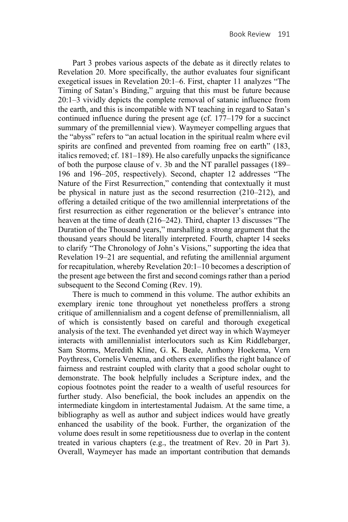Part 3 probes various aspects of the debate as it directly relates to Revelation 20. More specifically, the author evaluates four significant exegetical issues in Revelation 20:1–6. First, chapter 11 analyzes "The Timing of Satan's Binding," arguing that this must be future because 20:1–3 vividly depicts the complete removal of satanic influence from the earth, and this is incompatible with NT teaching in regard to Satan's continued influence during the present age (cf. 177–179 for a succinct summary of the premillennial view). Waymeyer compelling argues that the "abyss" refers to "an actual location in the spiritual realm where evil spirits are confined and prevented from roaming free on earth" (183, italics removed; cf. 181–189). He also carefully unpacks the significance of both the purpose clause of v. 3b and the NT parallel passages (189– 196 and 196–205, respectively). Second, chapter 12 addresses "The Nature of the First Resurrection," contending that contextually it must be physical in nature just as the second resurrection (210–212), and offering a detailed critique of the two amillennial interpretations of the first resurrection as either regeneration or the believer's entrance into heaven at the time of death (216–242). Third, chapter 13 discusses "The Duration of the Thousand years," marshalling a strong argument that the thousand years should be literally interpreted. Fourth, chapter 14 seeks to clarify "The Chronology of John's Visions," supporting the idea that Revelation 19–21 are sequential, and refuting the amillennial argument for recapitulation, whereby Revelation 20:1–10 becomes a description of the present age between the first and second comings rather than a period subsequent to the Second Coming (Rev. 19).

There is much to commend in this volume. The author exhibits an exemplary irenic tone throughout yet nonetheless proffers a strong critique of amillennialism and a cogent defense of premillennialism, all of which is consistently based on careful and thorough exegetical analysis of the text. The evenhanded yet direct way in which Waymeyer interacts with amillennialist interlocutors such as Kim Riddlebarger, Sam Storms, Meredith Kline, G. K. Beale, Anthony Hoekema, Vern Poythress, Cornelis Venema, and others exemplifies the right balance of fairness and restraint coupled with clarity that a good scholar ought to demonstrate. The book helpfully includes a Scripture index, and the copious footnotes point the reader to a wealth of useful resources for further study. Also beneficial, the book includes an appendix on the intermediate kingdom in intertestamental Judaism. At the same time, a bibliography as well as author and subject indices would have greatly enhanced the usability of the book. Further, the organization of the volume does result in some repetitiousness due to overlap in the content treated in various chapters (e.g., the treatment of Rev. 20 in Part 3). Overall, Waymeyer has made an important contribution that demands